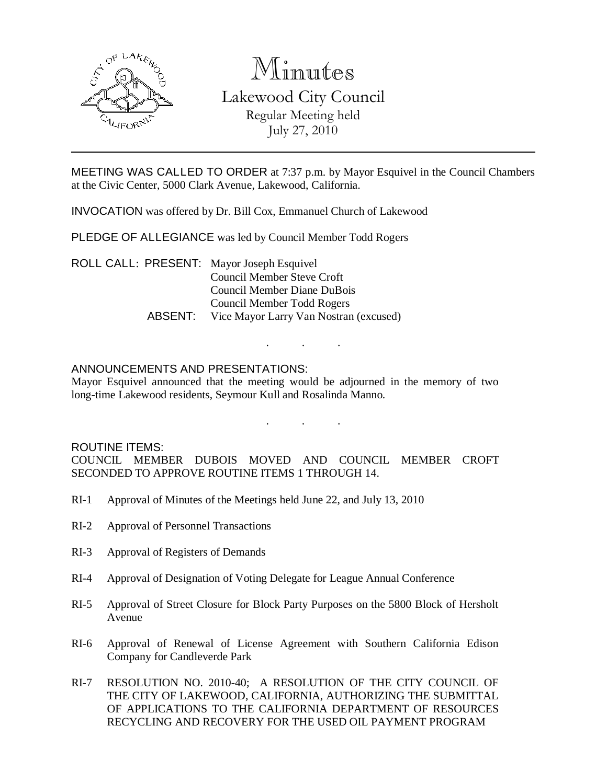

# Minutes

Lakewood City Council Regular Meeting held July 27, 2010

MEETING WAS CALLED TO ORDER at 7:37 p.m. by Mayor Esquivel in the Council Chambers at the Civic Center, 5000 Clark Avenue, Lakewood, California.

INVOCATION was offered by Dr. Bill Cox, Emmanuel Church of Lakewood

PLEDGE OF ALLEGIANCE was led by Council Member Todd Rogers

ROLL CALL: PRESENT: Mayor Joseph Esquivel Council Member Steve Croft Council Member Diane DuBois Council Member Todd Rogers ABSENT: Vice Mayor Larry Van Nostran (excused)

### ANNOUNCEMENTS AND PRESENTATIONS:

Mayor Esquivel announced that the meeting would be adjourned in the memory of two long-time Lakewood residents, Seymour Kull and Rosalinda Manno.

. . .

. . .

#### ROUTINE ITEMS:

COUNCIL MEMBER DUBOIS MOVED AND COUNCIL MEMBER CROFT SECONDED TO APPROVE ROUTINE ITEMS 1 THROUGH 14.

- RI-1 Approval of Minutes of the Meetings held June 22, and July 13, 2010
- RI-2 Approval of Personnel Transactions
- RI-3 Approval of Registers of Demands
- RI-4 Approval of Designation of Voting Delegate for League Annual Conference
- RI-5 Approval of Street Closure for Block Party Purposes on the 5800 Block of Hersholt Avenue
- RI-6 Approval of Renewal of License Agreement with Southern California Edison Company for Candleverde Park
- RI-7 RESOLUTION NO. 2010-40; A RESOLUTION OF THE CITY COUNCIL OF THE CITY OF LAKEWOOD, CALIFORNIA, AUTHORIZING THE SUBMITTAL OF APPLICATIONS TO THE CALIFORNIA DEPARTMENT OF RESOURCES RECYCLING AND RECOVERY FOR THE USED OIL PAYMENT PROGRAM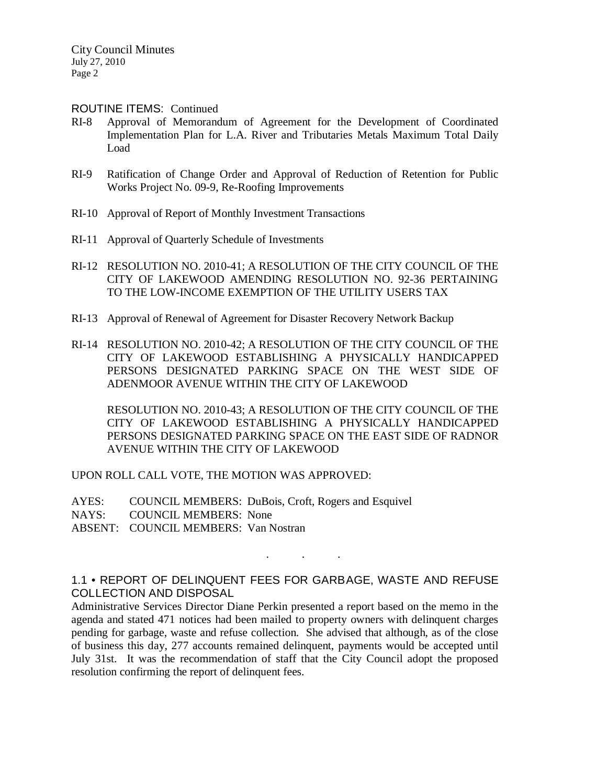#### ROUTINE ITEMS: Continued

- RI-8 Approval of Memorandum of Agreement for the Development of Coordinated Implementation Plan for L.A. River and Tributaries Metals Maximum Total Daily Load
- RI-9 Ratification of Change Order and Approval of Reduction of Retention for Public Works Project No. 09-9, Re-Roofing Improvements
- RI-10 Approval of Report of Monthly Investment Transactions
- RI-11 Approval of Quarterly Schedule of Investments
- RI-12 RESOLUTION NO. 2010-41; A RESOLUTION OF THE CITY COUNCIL OF THE CITY OF LAKEWOOD AMENDING RESOLUTION NO. 92-36 PERTAINING TO THE LOW-INCOME EXEMPTION OF THE UTILITY USERS TAX
- RI-13 Approval of Renewal of Agreement for Disaster Recovery Network Backup
- RI-14 RESOLUTION NO. 2010-42; A RESOLUTION OF THE CITY COUNCIL OF THE CITY OF LAKEWOOD ESTABLISHING A PHYSICALLY HANDICAPPED PERSONS DESIGNATED PARKING SPACE ON THE WEST SIDE OF ADENMOOR AVENUE WITHIN THE CITY OF LAKEWOOD

RESOLUTION NO. 2010-43; A RESOLUTION OF THE CITY COUNCIL OF THE CITY OF LAKEWOOD ESTABLISHING A PHYSICALLY HANDICAPPED PERSONS DESIGNATED PARKING SPACE ON THE EAST SIDE OF RADNOR AVENUE WITHIN THE CITY OF LAKEWOOD

UPON ROLL CALL VOTE, THE MOTION WAS APPROVED:

AYES: COUNCIL MEMBERS: DuBois, Croft, Rogers and Esquivel NAYS: COUNCIL MEMBERS: None ABSENT: COUNCIL MEMBERS: Van Nostran

1.1 • REPORT OF DELINQUENT FEES FOR GARBAGE, WASTE AND REFUSE COLLECTION AND DISPOSAL

. . .

Administrative Services Director Diane Perkin presented a report based on the memo in the agenda and stated 471 notices had been mailed to property owners with delinquent charges pending for garbage, waste and refuse collection. She advised that although, as of the close of business this day, 277 accounts remained delinquent, payments would be accepted until July 31st. It was the recommendation of staff that the City Council adopt the proposed resolution confirming the report of delinquent fees.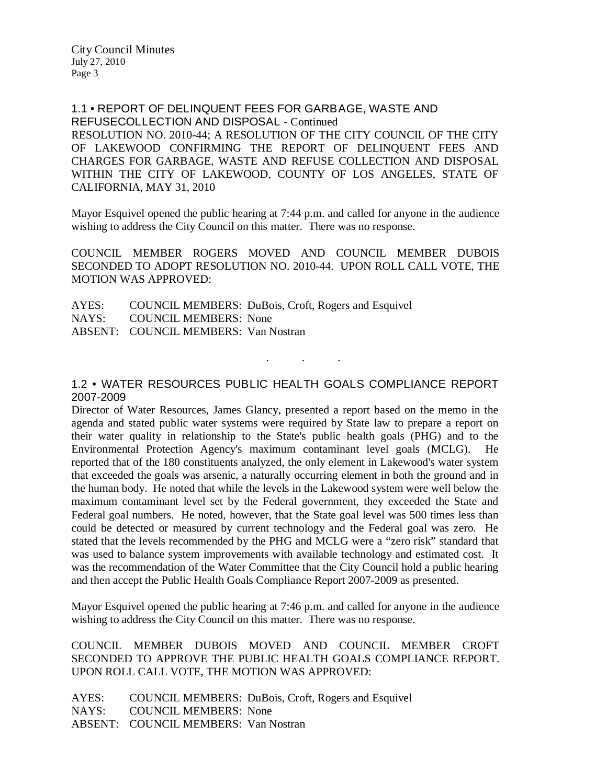1.1 • REPORT OF DELINQUENT FEES FOR GARBAGE, WASTE AND REFUSECOLLECTION AND DISPOSAL - Continued RESOLUTION NO. 2010-44; A RESOLUTION OF THE CITY COUNCIL OF THE CITY OF LAKEWOOD CONFIRMING THE REPORT OF DELINQUENT FEES AND CHARGES FOR GARBAGE, WASTE AND REFUSE COLLECTION AND DISPOSAL WITHIN THE CITY OF LAKEWOOD, COUNTY OF LOS ANGELES, STATE OF CALIFORNIA, MAY 31, 2010

Mayor Esquivel opened the public hearing at 7:44 p.m. and called for anyone in the audience wishing to address the City Council on this matter. There was no response.

COUNCIL MEMBER ROGERS MOVED AND COUNCIL MEMBER DUBOIS SECONDED TO ADOPT RESOLUTION NO. 2010-44. UPON ROLL CALL VOTE, THE MOTION WAS APPROVED:

AYES: COUNCIL MEMBERS: DuBois, Croft, Rogers and Esquivel NAYS: COUNCIL MEMBERS: None ABSENT: COUNCIL MEMBERS: Van Nostran

# 1.2 • WATER RESOURCES PUBLIC HEALTH GOALS COMPLIANCE REPORT 2007-2009

. . .

Director of Water Resources, James Glancy, presented a report based on the memo in the agenda and stated public water systems were required by State law to prepare a report on their water quality in relationship to the State's public health goals (PHG) and to the Environmental Protection Agency's maximum contaminant level goals (MCLG). He reported that of the 180 constituents analyzed, the only element in Lakewood's water system that exceeded the goals was arsenic, a naturally occurring element in both the ground and in the human body. He noted that while the levels in the Lakewood system were well below the maximum contaminant level set by the Federal government, they exceeded the State and Federal goal numbers. He noted, however, that the State goal level was 500 times less than could be detected or measured by current technology and the Federal goal was zero. He stated that the levels recommended by the PHG and MCLG were a "zero risk" standard that was used to balance system improvements with available technology and estimated cost. It was the recommendation of the Water Committee that the City Council hold a public hearing and then accept the Public Health Goals Compliance Report 2007-2009 as presented.

Mayor Esquivel opened the public hearing at 7:46 p.m. and called for anyone in the audience wishing to address the City Council on this matter. There was no response.

COUNCIL MEMBER DUBOIS MOVED AND COUNCIL MEMBER CROFT SECONDED TO APPROVE THE PUBLIC HEALTH GOALS COMPLIANCE REPORT. UPON ROLL CALL VOTE, THE MOTION WAS APPROVED:

AYES: COUNCIL MEMBERS: DuBois, Croft, Rogers and Esquivel NAYS: COUNCIL MEMBERS: None ABSENT: COUNCIL MEMBERS: Van Nostran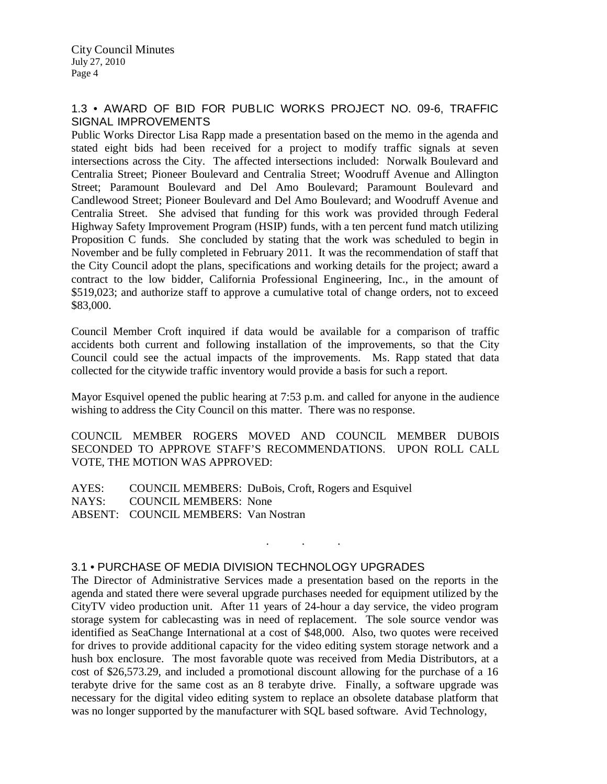# 1.3 • AWARD OF BID FOR PUBLIC WORKS PROJECT NO. 09-6, TRAFFIC SIGNAL IMPROVEMENTS

Public Works Director Lisa Rapp made a presentation based on the memo in the agenda and stated eight bids had been received for a project to modify traffic signals at seven intersections across the City. The affected intersections included: Norwalk Boulevard and Centralia Street; Pioneer Boulevard and Centralia Street; Woodruff Avenue and Allington Street; Paramount Boulevard and Del Amo Boulevard; Paramount Boulevard and Candlewood Street; Pioneer Boulevard and Del Amo Boulevard; and Woodruff Avenue and Centralia Street. She advised that funding for this work was provided through Federal Highway Safety Improvement Program (HSIP) funds, with a ten percent fund match utilizing Proposition C funds. She concluded by stating that the work was scheduled to begin in November and be fully completed in February 2011. It was the recommendation of staff that the City Council adopt the plans, specifications and working details for the project; award a contract to the low bidder, California Professional Engineering, Inc., in the amount of \$519,023; and authorize staff to approve a cumulative total of change orders, not to exceed \$83,000.

Council Member Croft inquired if data would be available for a comparison of traffic accidents both current and following installation of the improvements, so that the City Council could see the actual impacts of the improvements. Ms. Rapp stated that data collected for the citywide traffic inventory would provide a basis for such a report.

Mayor Esquivel opened the public hearing at 7:53 p.m. and called for anyone in the audience wishing to address the City Council on this matter. There was no response.

COUNCIL MEMBER ROGERS MOVED AND COUNCIL MEMBER DUBOIS SECONDED TO APPROVE STAFF'S RECOMMENDATIONS. UPON ROLL CALL VOTE, THE MOTION WAS APPROVED:

. . .

AYES: COUNCIL MEMBERS: DuBois, Croft, Rogers and Esquivel NAYS: COUNCIL MEMBERS: None ABSENT: COUNCIL MEMBERS: Van Nostran

# 3.1 • PURCHASE OF MEDIA DIVISION TECHNOLOGY UPGRADES

The Director of Administrative Services made a presentation based on the reports in the agenda and stated there were several upgrade purchases needed for equipment utilized by the CityTV video production unit. After 11 years of 24-hour a day service, the video program storage system for cablecasting was in need of replacement. The sole source vendor was identified as SeaChange International at a cost of \$48,000. Also, two quotes were received for drives to provide additional capacity for the video editing system storage network and a hush box enclosure. The most favorable quote was received from Media Distributors, at a cost of \$26,573.29, and included a promotional discount allowing for the purchase of a 16 terabyte drive for the same cost as an 8 terabyte drive. Finally, a software upgrade was necessary for the digital video editing system to replace an obsolete database platform that was no longer supported by the manufacturer with SQL based software. Avid Technology,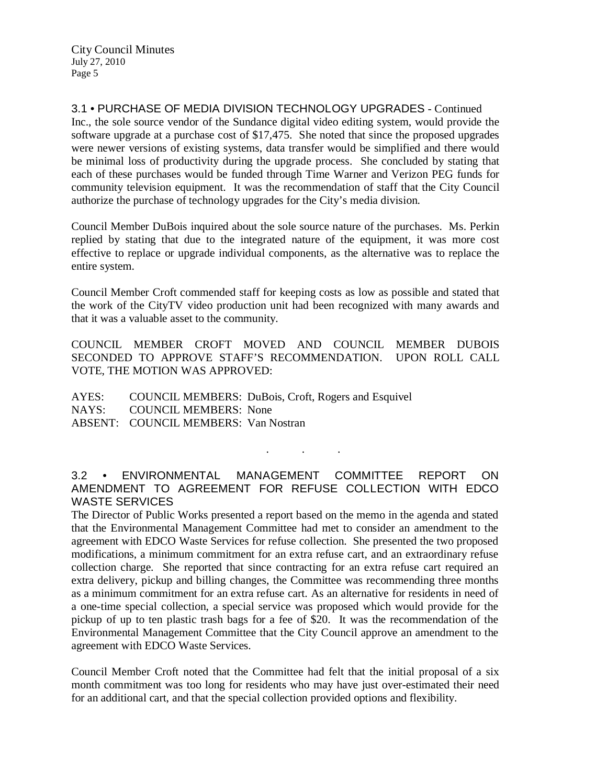City Council Minutes July 27, 2010 Page 5

3.1 • PURCHASE OF MEDIA DIVISION TECHNOLOGY UPGRADES - Continued Inc., the sole source vendor of the Sundance digital video editing system, would provide the software upgrade at a purchase cost of \$17,475. She noted that since the proposed upgrades were newer versions of existing systems, data transfer would be simplified and there would be minimal loss of productivity during the upgrade process. She concluded by stating that each of these purchases would be funded through Time Warner and Verizon PEG funds for community television equipment. It was the recommendation of staff that the City Council authorize the purchase of technology upgrades for the City's media division.

Council Member DuBois inquired about the sole source nature of the purchases. Ms. Perkin replied by stating that due to the integrated nature of the equipment, it was more cost effective to replace or upgrade individual components, as the alternative was to replace the entire system.

Council Member Croft commended staff for keeping costs as low as possible and stated that the work of the CityTV video production unit had been recognized with many awards and that it was a valuable asset to the community.

COUNCIL MEMBER CROFT MOVED AND COUNCIL MEMBER DUBOIS SECONDED TO APPROVE STAFF'S RECOMMENDATION. UPON ROLL CALL VOTE, THE MOTION WAS APPROVED:

AYES: COUNCIL MEMBERS: DuBois, Croft, Rogers and Esquivel NAYS: COUNCIL MEMBERS: None ABSENT: COUNCIL MEMBERS: Van Nostran

3.2 • ENVIRONMENTAL MANAGEMENT COMMITTEE REPORT ON AMENDMENT TO AGREEMENT FOR REFUSE COLLECTION WITH EDCO WASTE SERVICES

. . .

The Director of Public Works presented a report based on the memo in the agenda and stated that the Environmental Management Committee had met to consider an amendment to the agreement with EDCO Waste Services for refuse collection. She presented the two proposed modifications, a minimum commitment for an extra refuse cart, and an extraordinary refuse collection charge. She reported that since contracting for an extra refuse cart required an extra delivery, pickup and billing changes, the Committee was recommending three months as a minimum commitment for an extra refuse cart. As an alternative for residents in need of a one-time special collection, a special service was proposed which would provide for the pickup of up to ten plastic trash bags for a fee of \$20. It was the recommendation of the Environmental Management Committee that the City Council approve an amendment to the agreement with EDCO Waste Services.

Council Member Croft noted that the Committee had felt that the initial proposal of a six month commitment was too long for residents who may have just over-estimated their need for an additional cart, and that the special collection provided options and flexibility.